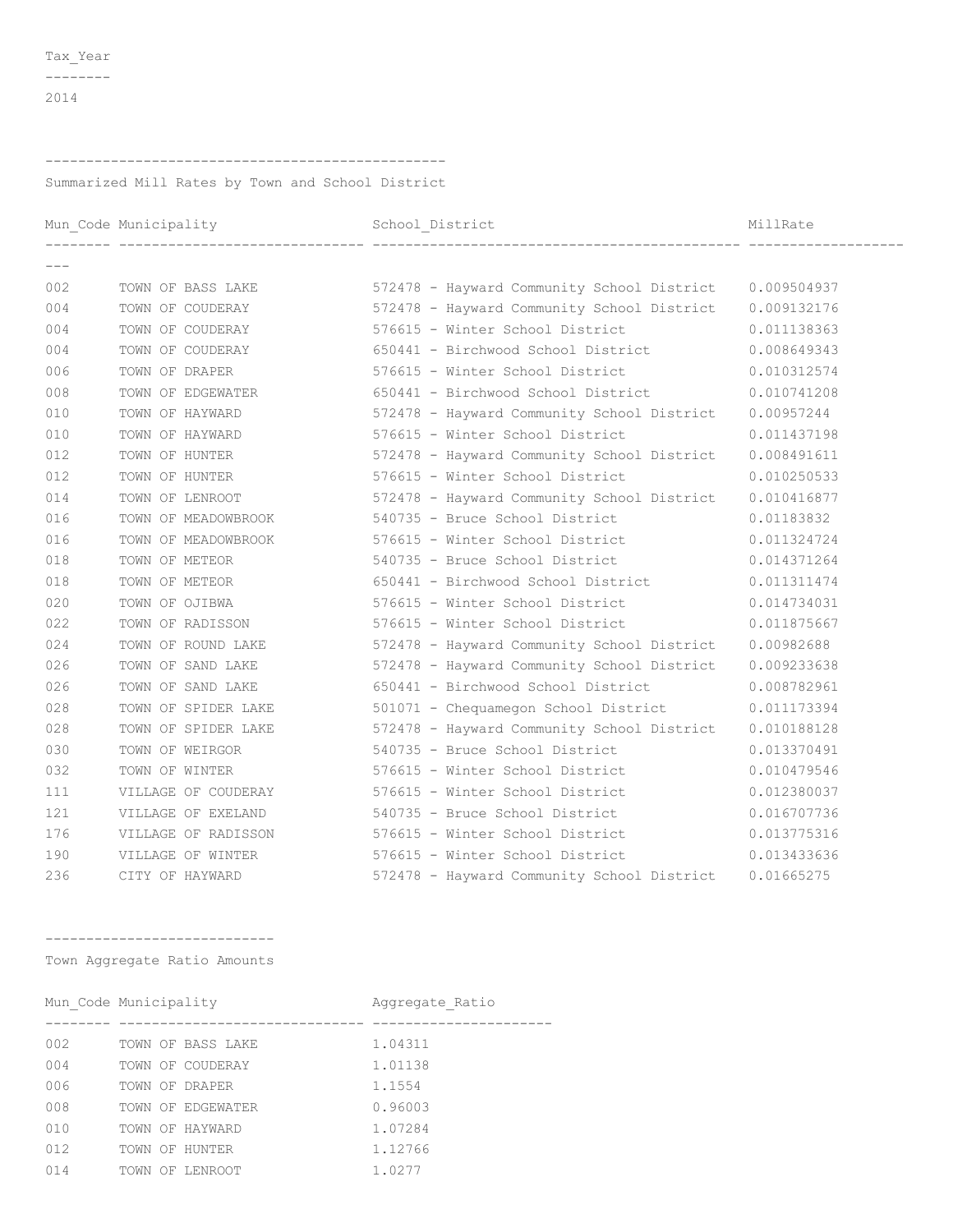$-----  
---  
---$ 

## 

Summarized Mill Rates by Town and School District

|       |                     |                                                                          | MillRate    |
|-------|---------------------|--------------------------------------------------------------------------|-------------|
| $---$ |                     | -------------------------------- ----                                    |             |
| 002   |                     | TOWN OF BASS LAKE 572478 - Hayward Community School District 0.009504937 |             |
| 004   |                     | TOWN OF COUDERAY 572478 - Hayward Community School District 0.009132176  |             |
| 004   | TOWN OF COUDERAY    | 576615 - Winter School District                                          | 0.011138363 |
| 004   | TOWN OF COUDERAY    | 650441 - Birchwood School District 0.008649343                           |             |
| 006   | TOWN OF DRAPER      | 576615 - Winter School District 0.010312574                              |             |
| 008   | TOWN OF EDGEWATER   | 650441 - Birchwood School District                                       | 0.010741208 |
| 010   | TOWN OF HAYWARD     | 572478 - Hayward Community School District 0.00957244                    |             |
| 010   | TOWN OF HAYWARD     | 576615 - Winter School District                                          | 0.011437198 |
| 012   | TOWN OF HUNTER      | 572478 - Hayward Community School District                               | 0.008491611 |
| 012   | TOWN OF HUNTER      | 576615 - Winter School District                                          | 0.010250533 |
| 014   | TOWN OF LENROOT     | 572478 - Hayward Community School District 0.010416877                   |             |
| 016   |                     | TOWN OF MEADOWBROOK 540735 - Bruce School District                       | 0.01183832  |
| 016   |                     | TOWN OF MEADOWBROOK 576615 - Winter School District                      | 0.011324724 |
| 018   | TOWN OF METEOR      | 540735 - Bruce School District                                           | 0.014371264 |
| 018   | TOWN OF METEOR      | 650441 - Birchwood School District 0.011311474                           |             |
| 020   | TOWN OF OJIBWA      | 576615 - Winter School District 0.014734031                              |             |
| 022   | TOWN OF RADISSON    | 576615 - Winter School District                                          | 0.011875667 |
| 024   | TOWN OF ROUND LAKE  | 572478 - Hayward Community School District 0.00982688                    |             |
| 026   | TOWN OF SAND LAKE   | 572478 - Hayward Community School District 0.009233638                   |             |
| 026   | TOWN OF SAND LAKE   | 650441 - Birchwood School District                                       | 0.008782961 |
| 028   | TOWN OF SPIDER LAKE | 501071 - Chequamegon School District                                     | 0.011173394 |
| 028   | TOWN OF SPIDER LAKE | 572478 - Hayward Community School District 0.010188128                   |             |
| 030   | TOWN OF WEIRGOR     | 540735 - Bruce School District                                           | 0.013370491 |
| 032   | TOWN OF WINTER      | 576615 - Winter School District                                          | 0.010479546 |
| 111   | VILLAGE OF COUDERAY | 576615 - Winter School District                                          | 0.012380037 |
| 121   | VILLAGE OF EXELAND  | 540735 - Bruce School District                                           | 0.016707736 |
| 176   | VILLAGE OF RADISSON | 576615 - Winter School District 0.013775316                              |             |
| 190   | VILLAGE OF WINTER   | 576615 - Winter School District                                          | 0.013433636 |
| 236   | CITY OF HAYWARD     | 572478 - Hayward Community School District 0.01665275                    |             |

-----------------------------

Town Aggregate Ratio Amounts

|     | Mun Code Municipality |                   | Aggregate Ratio |  |
|-----|-----------------------|-------------------|-----------------|--|
|     |                       |                   |                 |  |
| 002 |                       | TOWN OF BASS LAKE | 1.04311         |  |
| 004 |                       | TOWN OF COUDERAY  | 1.01138         |  |
| 006 | TOWN OF DRAPER        |                   | 1.1554          |  |
| 008 |                       | TOWN OF EDGEWATER | 0.96003         |  |
| 010 | TOWN OF HAYWARD       |                   | 1.07284         |  |
| 012 | TOWN OF HUNTER        |                   | 1.12766         |  |
| 014 | TOWN OF LENROOT       |                   | 1.0277          |  |